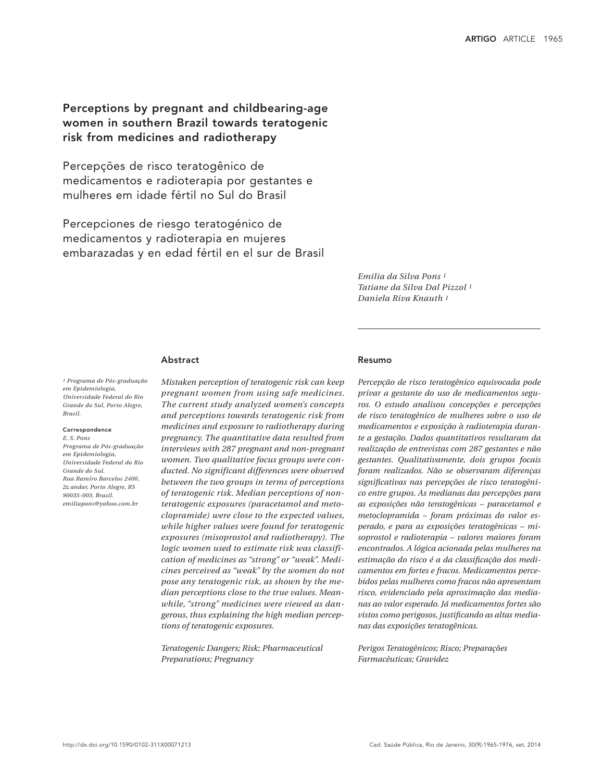# Perceptions by pregnant and childbearing-age women in southern Brazil towards teratogenic risk from medicines and radiotherapy

Percepções de risco teratogênico de medicamentos e radioterapia por gestantes e mulheres em idade fértil no Sul do Brasil

Percepciones de riesgo teratogénico de medicamentos y radioterapia en mujeres embarazadas y en edad fértil en el sur de Brasil

> *Emilia da Silva Pons 1 Tatiane da Silva Dal Pizzol 1 Daniela Riva Knauth 1*

## Abstract

*1 Programa de Pós-graduação em Epidemiologia, Universidade Federal do Rio Grande do Sul, Porto Alegre, Brasil.*

#### Correspondence

*E. S. Pons Programa de Pós-graduação em Epidemiologia, Universidade Federal do Rio Grande do Sul. Rua Ramiro Barcelos 2400, 2o andar, Porto Alegre, RS 90035-003, Brasil. emiliapons@yahoo.com.br*

*Mistaken perception of teratogenic risk can keep pregnant women from using safe medicines. The current study analyzed women's concepts and perceptions towards teratogenic risk from medicines and exposure to radiotherapy during pregnancy. The quantitative data resulted from interviews with 287 pregnant and non-pregnant women. Two qualitative focus groups were conducted. No significant differences were observed between the two groups in terms of perceptions of teratogenic risk. Median perceptions of nonteratogenic exposures (paracetamol and metoclopramide) were close to the expected values, while higher values were found for teratogenic exposures (misoprostol and radiotherapy). The logic women used to estimate risk was classification of medicines as "strong" or "weak". Medicines perceived as "weak" by the women do not pose any teratogenic risk, as shown by the median perceptions close to the true values. Meanwhile, "strong" medicines were viewed as dangerous, thus explaining the high median perceptions of teratogenic exposures.*

*Teratogenic Dangers; Risk; Pharmaceutical Preparations; Pregnancy*

### Resumo

*Percepção de risco teratogênico equivocada pode privar a gestante do uso de medicamentos seguros. O estudo analisou concepções e percepções de risco teratogênico de mulheres sobre o uso de medicamentos e exposição à radioterapia durante a gestação. Dados quantitativos resultaram da realização de entrevistas com 287 gestantes e não gestantes. Qualitativamente, dois grupos focais foram realizados. Não se observaram diferenças significativas nas percepções de risco teratogênico entre grupos. As medianas das percepções para as exposições não teratogênicas – paracetamol e metoclopramida – foram próximas do valor esperado, e para as exposições teratogênicas – misoprostol e radioterapia – valores maiores foram encontrados. A lógica acionada pelas mulheres na estimação do risco é a da classificação dos medicamentos em fortes e fracos. Medicamentos percebidos pelas mulheres como fracos não apresentam risco, evidenciado pela aproximação das medianas ao valor esperado. Já medicamentos fortes são vistos como perigosos, justificando as altas medianas das exposições teratogênicas.*

*Perigos Teratogênicos; Risco; Preparações Farmacêuticas; Gravidez*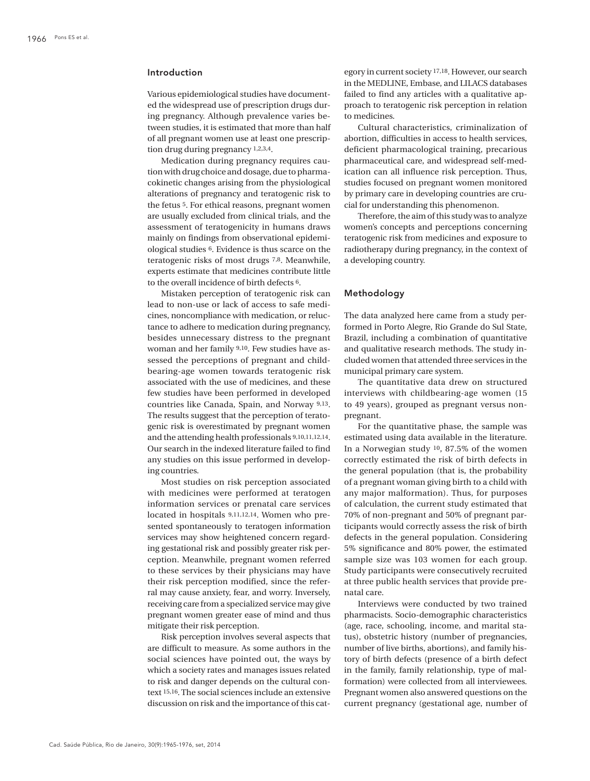### Introduction

Various epidemiological studies have documented the widespread use of prescription drugs during pregnancy. Although prevalence varies between studies, it is estimated that more than half of all pregnant women use at least one prescription drug during pregnancy 1,2,3,4.

Medication during pregnancy requires caution with drug choice and dosage, due to pharmacokinetic changes arising from the physiological alterations of pregnancy and teratogenic risk to the fetus 5. For ethical reasons, pregnant women are usually excluded from clinical trials, and the assessment of teratogenicity in humans draws mainly on findings from observational epidemiological studies 6. Evidence is thus scarce on the teratogenic risks of most drugs 7,8. Meanwhile, experts estimate that medicines contribute little to the overall incidence of birth defects 6.

Mistaken perception of teratogenic risk can lead to non-use or lack of access to safe medicines, noncompliance with medication, or reluctance to adhere to medication during pregnancy, besides unnecessary distress to the pregnant woman and her family 9,10. Few studies have assessed the perceptions of pregnant and childbearing-age women towards teratogenic risk associated with the use of medicines, and these few studies have been performed in developed countries like Canada, Spain, and Norway 9,13. The results suggest that the perception of teratogenic risk is overestimated by pregnant women and the attending health professionals 9,10,11,12,14. Our search in the indexed literature failed to find any studies on this issue performed in developing countries.

Most studies on risk perception associated with medicines were performed at teratogen information services or prenatal care services located in hospitals 9,11,12,14. Women who presented spontaneously to teratogen information services may show heightened concern regarding gestational risk and possibly greater risk perception. Meanwhile, pregnant women referred to these services by their physicians may have their risk perception modified, since the referral may cause anxiety, fear, and worry. Inversely, receiving care from a specialized service may give pregnant women greater ease of mind and thus mitigate their risk perception.

Risk perception involves several aspects that are difficult to measure. As some authors in the social sciences have pointed out, the ways by which a society rates and manages issues related to risk and danger depends on the cultural context 15,16. The social sciences include an extensive discussion on risk and the importance of this category in current society 17,18. However, our search in the MEDLINE, Embase, and LILACS databases failed to find any articles with a qualitative approach to teratogenic risk perception in relation to medicines.

Cultural characteristics, criminalization of abortion, difficulties in access to health services, deficient pharmacological training, precarious pharmaceutical care, and widespread self-medication can all influence risk perception. Thus, studies focused on pregnant women monitored by primary care in developing countries are crucial for understanding this phenomenon.

Therefore, the aim of this study was to analyze women's concepts and perceptions concerning teratogenic risk from medicines and exposure to radiotherapy during pregnancy, in the context of a developing country.

### Methodology

The data analyzed here came from a study performed in Porto Alegre, Rio Grande do Sul State, Brazil, including a combination of quantitative and qualitative research methods. The study included women that attended three services in the municipal primary care system.

The quantitative data drew on structured interviews with childbearing-age women (15 to 49 years), grouped as pregnant versus nonpregnant.

For the quantitative phase, the sample was estimated using data available in the literature. In a Norwegian study 10, 87.5% of the women correctly estimated the risk of birth defects in the general population (that is, the probability of a pregnant woman giving birth to a child with any major malformation). Thus, for purposes of calculation, the current study estimated that 70% of non-pregnant and 50% of pregnant participants would correctly assess the risk of birth defects in the general population. Considering 5% significance and 80% power, the estimated sample size was 103 women for each group. Study participants were consecutively recruited at three public health services that provide prenatal care.

Interviews were conducted by two trained pharmacists. Socio-demographic characteristics (age, race, schooling, income, and marital status), obstetric history (number of pregnancies, number of live births, abortions), and family history of birth defects (presence of a birth defect in the family, family relationship, type of malformation) were collected from all interviewees. Pregnant women also answered questions on the current pregnancy (gestational age, number of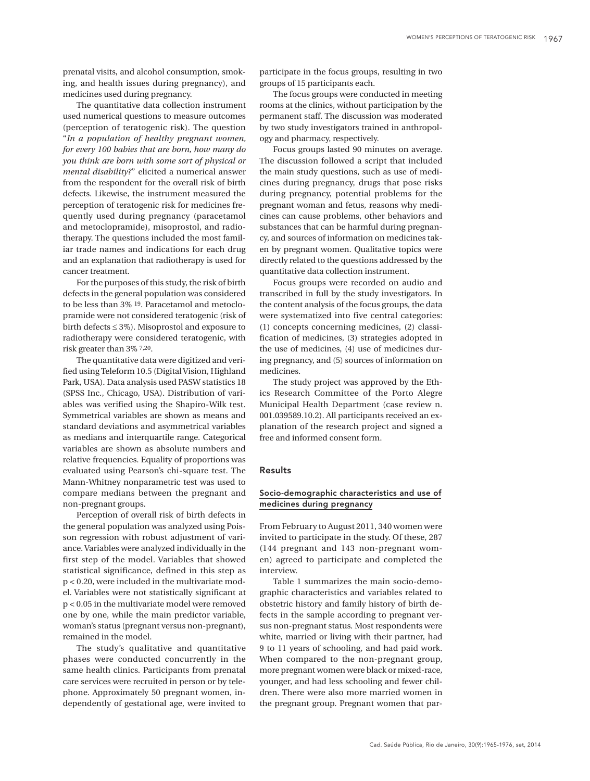prenatal visits, and alcohol consumption, smoking, and health issues during pregnancy), and medicines used during pregnancy.

The quantitative data collection instrument used numerical questions to measure outcomes (perception of teratogenic risk). The question "*In a population of healthy pregnant women, for every 100 babies that are born, how many do you think are born with some sort of physical or mental disability?*" elicited a numerical answer from the respondent for the overall risk of birth defects. Likewise, the instrument measured the perception of teratogenic risk for medicines frequently used during pregnancy (paracetamol and metoclopramide), misoprostol, and radiotherapy. The questions included the most familiar trade names and indications for each drug and an explanation that radiotherapy is used for cancer treatment.

For the purposes of this study, the risk of birth defects in the general population was considered to be less than 3% 19. Paracetamol and metoclopramide were not considered teratogenic (risk of birth defects  $\leq$  3%). Misoprostol and exposure to radiotherapy were considered teratogenic, with risk greater than 3% 7,20.

The quantitative data were digitized and verified using Teleform 10.5 (Digital Vision, Highland Park, USA). Data analysis used PASW statistics 18 (SPSS Inc., Chicago, USA). Distribution of variables was verified using the Shapiro-Wilk test. Symmetrical variables are shown as means and standard deviations and asymmetrical variables as medians and interquartile range. Categorical variables are shown as absolute numbers and relative frequencies. Equality of proportions was evaluated using Pearson's chi-square test. The Mann-Whitney nonparametric test was used to compare medians between the pregnant and non-pregnant groups.

Perception of overall risk of birth defects in the general population was analyzed using Poisson regression with robust adjustment of variance. Variables were analyzed individually in the first step of the model. Variables that showed statistical significance, defined in this step as p < 0.20, were included in the multivariate model. Variables were not statistically significant at p < 0.05 in the multivariate model were removed one by one, while the main predictor variable, woman's status (pregnant versus non-pregnant), remained in the model.

The study's qualitative and quantitative phases were conducted concurrently in the same health clinics. Participants from prenatal care services were recruited in person or by telephone. Approximately 50 pregnant women, independently of gestational age, were invited to

participate in the focus groups, resulting in two groups of 15 participants each.

The focus groups were conducted in meeting rooms at the clinics, without participation by the permanent staff. The discussion was moderated by two study investigators trained in anthropology and pharmacy, respectively.

Focus groups lasted 90 minutes on average. The discussion followed a script that included the main study questions, such as use of medicines during pregnancy, drugs that pose risks during pregnancy, potential problems for the pregnant woman and fetus, reasons why medicines can cause problems, other behaviors and substances that can be harmful during pregnancy, and sources of information on medicines taken by pregnant women. Qualitative topics were directly related to the questions addressed by the quantitative data collection instrument.

Focus groups were recorded on audio and transcribed in full by the study investigators. In the content analysis of the focus groups, the data were systematized into five central categories: (1) concepts concerning medicines, (2) classification of medicines, (3) strategies adopted in the use of medicines, (4) use of medicines during pregnancy, and (5) sources of information on medicines.

The study project was approved by the Ethics Research Committee of the Porto Alegre Municipal Health Department (case review n. 001.039589.10.2). All participants received an explanation of the research project and signed a free and informed consent form.

#### Results

## Socio-demographic characteristics and use of medicines during pregnancy

From February to August 2011, 340 women were invited to participate in the study. Of these, 287 (144 pregnant and 143 non-pregnant women) agreed to participate and completed the interview.

Table 1 summarizes the main socio-demographic characteristics and variables related to obstetric history and family history of birth defects in the sample according to pregnant versus non-pregnant status. Most respondents were white, married or living with their partner, had 9 to 11 years of schooling, and had paid work. When compared to the non-pregnant group, more pregnant women were black or mixed-race, younger, and had less schooling and fewer children. There were also more married women in the pregnant group. Pregnant women that par-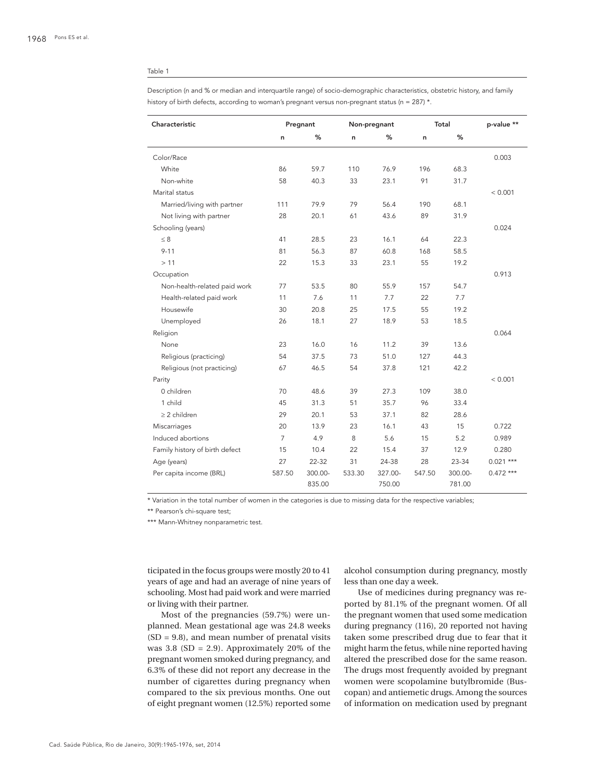#### Table 1

|  | Description (n and % or median and interquartile range) of socio-demographic characteristics, obstetric history, and family |  |  |  |
|--|-----------------------------------------------------------------------------------------------------------------------------|--|--|--|
|  | history of birth defects, according to woman's pregnant versus non-pregnant status (n = 287) *.                             |  |  |  |

| Characteristic                 | Pregnant       |         | Non-pregnant |         | Total  |         | p-value **  |
|--------------------------------|----------------|---------|--------------|---------|--------|---------|-------------|
|                                | n              | %       | n            | %       | n      | %       |             |
| Color/Race                     |                |         |              |         |        |         | 0.003       |
| White                          | 86             | 59.7    | 110          | 76.9    | 196    | 68.3    |             |
| Non-white                      | 58             | 40.3    | 33           | 23.1    | 91     | 31.7    |             |
| Marital status                 |                |         |              |         |        |         | < 0.001     |
| Married/living with partner    | 111            | 79.9    | 79           | 56.4    | 190    | 68.1    |             |
| Not living with partner        | 28             | 20.1    | 61           | 43.6    | 89     | 31.9    |             |
| Schooling (years)              |                |         |              |         |        |         | 0.024       |
| $\leq 8$                       | 41             | 28.5    | 23           | 16.1    | 64     | 22.3    |             |
| $9 - 11$                       | 81             | 56.3    | 87           | 60.8    | 168    | 58.5    |             |
| >11                            | 22             | 15.3    | 33           | 23.1    | 55     | 19.2    |             |
| Occupation                     |                |         |              |         |        |         | 0.913       |
| Non-health-related paid work   | 77             | 53.5    | 80           | 55.9    | 157    | 54.7    |             |
| Health-related paid work       | 11             | 7.6     | 11           | 7.7     | 22     | 7.7     |             |
| Housewife                      | 30             | 20.8    | 25           | 17.5    | 55     | 19.2    |             |
| Unemployed                     | 26             | 18.1    | 27           | 18.9    | 53     | 18.5    |             |
| Religion                       |                |         |              |         |        |         | 0.064       |
| None                           | 23             | 16.0    | 16           | 11.2    | 39     | 13.6    |             |
| Religious (practicing)         | 54             | 37.5    | 73           | 51.0    | 127    | 44.3    |             |
| Religious (not practicing)     | 67             | 46.5    | 54           | 37.8    | 121    | 42.2    |             |
| Parity                         |                |         |              |         |        |         | < 0.001     |
| 0 children                     | 70             | 48.6    | 39           | 27.3    | 109    | 38.0    |             |
| 1 child                        | 45             | 31.3    | 51           | 35.7    | 96     | 33.4    |             |
| $\geq$ 2 children              | 29             | 20.1    | 53           | 37.1    | 82     | 28.6    |             |
| Miscarriages                   | 20             | 13.9    | 23           | 16.1    | 43     | 15      | 0.722       |
| Induced abortions              | $\overline{7}$ | 4.9     | 8            | 5.6     | 15     | 5.2     | 0.989       |
| Family history of birth defect | 15             | 10.4    | 22           | 15.4    | 37     | 12.9    | 0.280       |
| Age (years)                    | 27             | 22-32   | 31           | 24-38   | 28     | 23-34   | $0.021$ *** |
| Per capita income (BRL)        | 587.50         | 300.00- | 533.30       | 327.00- | 547.50 | 300.00- | $0.472$ *** |
|                                |                | 835.00  |              | 750.00  |        | 781.00  |             |

\* Variation in the total number of women in the categories is due to missing data for the respective variables;

\*\* Pearson's chi-square test;

\*\*\* Mann-Whitney nonparametric test.

ticipated in the focus groups were mostly 20 to 41 years of age and had an average of nine years of schooling. Most had paid work and were married or living with their partner.

Most of the pregnancies (59.7%) were unplanned. Mean gestational age was 24.8 weeks  $(SD = 9.8)$ , and mean number of prenatal visits was  $3.8$  (SD = 2.9). Approximately 20% of the pregnant women smoked during pregnancy, and 6.3% of these did not report any decrease in the number of cigarettes during pregnancy when compared to the six previous months. One out of eight pregnant women (12.5%) reported some

alcohol consumption during pregnancy, mostly less than one day a week.

Use of medicines during pregnancy was reported by 81.1% of the pregnant women. Of all the pregnant women that used some medication during pregnancy (116), 20 reported not having taken some prescribed drug due to fear that it might harm the fetus, while nine reported having altered the prescribed dose for the same reason. The drugs most frequently avoided by pregnant women were scopolamine butylbromide (Buscopan) and antiemetic drugs. Among the sources of information on medication used by pregnant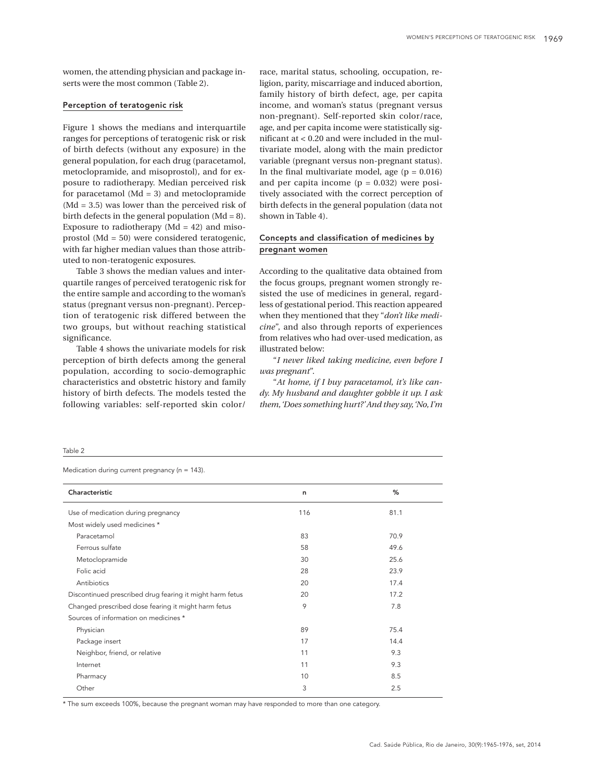women, the attending physician and package inserts were the most common (Table 2).

#### Perception of teratogenic risk

Figure 1 shows the medians and interquartile ranges for perceptions of teratogenic risk or risk of birth defects (without any exposure) in the general population, for each drug (paracetamol, metoclopramide, and misoprostol), and for exposure to radiotherapy. Median perceived risk for paracetamol ( $Md = 3$ ) and metoclopramide (Md = 3.5) was lower than the perceived risk of birth defects in the general population  $Md = 8$ ). Exposure to radiotherapy  $(Md = 42)$  and misoprostol (Md = 50) were considered teratogenic, with far higher median values than those attributed to non-teratogenic exposures.

Table 3 shows the median values and interquartile ranges of perceived teratogenic risk for the entire sample and according to the woman's status (pregnant versus non-pregnant). Perception of teratogenic risk differed between the two groups, but without reaching statistical significance.

Table 4 shows the univariate models for risk perception of birth defects among the general population, according to socio-demographic characteristics and obstetric history and family history of birth defects. The models tested the following variables: self-reported skin color/

race, marital status, schooling, occupation, religion, parity, miscarriage and induced abortion, family history of birth defect, age, per capita income, and woman's status (pregnant versus non-pregnant). Self-reported skin color/race, age, and per capita income were statistically significant at < 0.20 and were included in the multivariate model, along with the main predictor variable (pregnant versus non-pregnant status). In the final multivariate model, age  $(p = 0.016)$ and per capita income  $(p = 0.032)$  were positively associated with the correct perception of birth defects in the general population (data not shown in Table 4).

## Concepts and classification of medicines by pregnant women

According to the qualitative data obtained from the focus groups, pregnant women strongly resisted the use of medicines in general, regardless of gestational period. This reaction appeared when they mentioned that they "*don't like medicine*", and also through reports of experiences from relatives who had over-used medication, as illustrated below:

"*I never liked taking medicine, even before I was pregnant*".

"*At home, if I buy paracetamol, it's like candy. My husband and daughter gobble it up. I ask them, 'Does something hurt?' And they say, 'No, I'm* 

Table 2

Medication during current pregnancy (n = 143).

| Characteristic                                           | n   | %    |
|----------------------------------------------------------|-----|------|
| Use of medication during pregnancy                       | 116 | 81.1 |
| Most widely used medicines *                             |     |      |
| Paracetamol                                              | 83  | 70.9 |
| Ferrous sulfate                                          | 58  | 49.6 |
| Metoclopramide                                           | 30  | 25.6 |
| Folic acid                                               | 28  | 23.9 |
| Antibiotics                                              | 20  | 17.4 |
| Discontinued prescribed drug fearing it might harm fetus | 20  | 17.2 |
| Changed prescribed dose fearing it might harm fetus      | 9   | 7.8  |
| Sources of information on medicines *                    |     |      |
| Physician                                                | 89  | 75.4 |
| Package insert                                           | 17  | 14.4 |
| Neighbor, friend, or relative                            | 11  | 9.3  |
| Internet                                                 | 11  | 9.3  |
| Pharmacy                                                 | 10  | 8.5  |
| Other                                                    | 3   | 2.5  |

\* The sum exceeds 100%, because the pregnant woman may have responded to more than one category.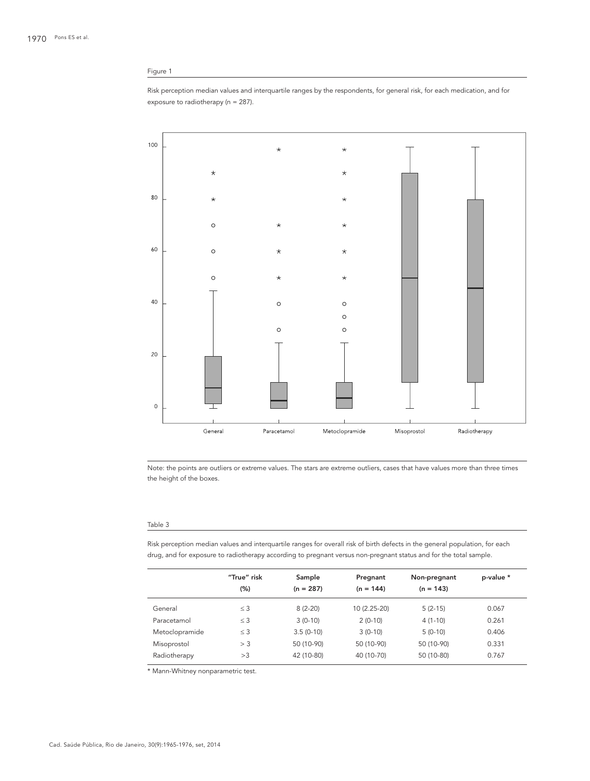### Figure 1

Risk perception median values and interquartile ranges by the respondents, for general risk, for each medication, and for exposure to radiotherapy (n = 287).



Note: the points are outliers or extreme values. The stars are extreme outliers, cases that have values more than three times the height of the boxes.

### Table 3

Risk perception median values and interquartile ranges for overall risk of birth defects in the general population, for each drug, and for exposure to radiotherapy according to pregnant versus non-pregnant status and for the total sample.

| "True" risk<br>(%) | Sample<br>$(n = 287)$ | Pregnant<br>$(n = 144)$ | Non-pregnant<br>$(n = 143)$ | $p-value *$ |
|--------------------|-----------------------|-------------------------|-----------------------------|-------------|
| $\leq$ 3           | $8(2-20)$             | 10 (2.25-20)            | $5(2-15)$                   | 0.067       |
| $\leq$ 3           | $3(0-10)$             | $2(0-10)$               | $4(1-10)$                   | 0.261       |
| $\leq$ 3           | $3.5(0-10)$           | $3(0-10)$               | $5(0-10)$                   | 0.406       |
| > 3                | 50 (10-90)            | 50 (10-90)              | 50 (10-90)                  | 0.331       |
| >3                 | 42 (10-80)            | 40 (10-70)              | 50 (10-80)                  | 0.767       |
|                    |                       |                         |                             |             |

\* Mann-Whitney nonparametric test.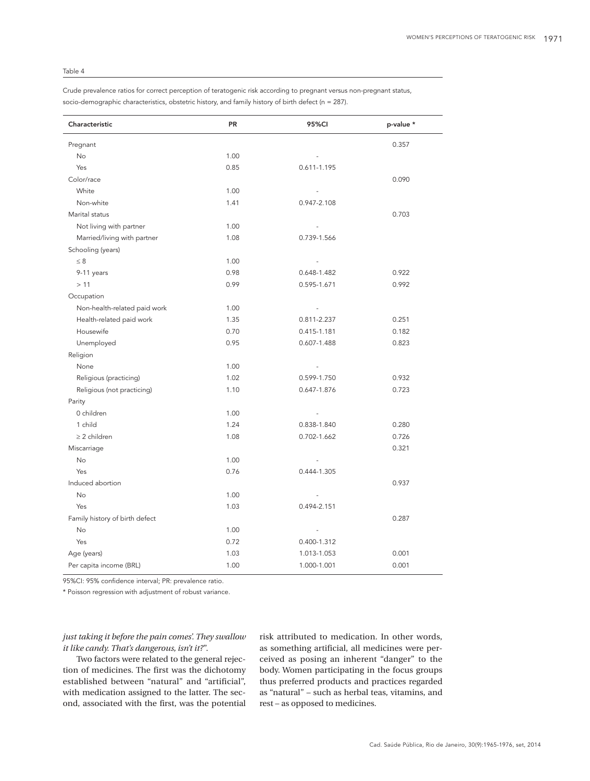#### Table 4

| Characteristic                 | <b>PR</b> | <b>95%CI</b>             | p-value * |
|--------------------------------|-----------|--------------------------|-----------|
| Pregnant                       |           |                          | 0.357     |
| No                             | 1.00      | $\sim$                   |           |
| Yes                            | 0.85      | 0.611-1.195              |           |
| Color/race                     |           |                          | 0.090     |
| White                          | 1.00      |                          |           |
| Non-white                      | 1.41      | 0.947-2.108              |           |
| Marital status                 |           |                          | 0.703     |
| Not living with partner        | 1.00      |                          |           |
| Married/living with partner    | 1.08      | 0.739-1.566              |           |
| Schooling (years)              |           |                          |           |
| $\leq 8$                       | 1.00      |                          |           |
| 9-11 years                     | 0.98      | 0.648-1.482              | 0.922     |
| >11                            | 0.99      | 0.595-1.671              | 0.992     |
| Occupation                     |           |                          |           |
| Non-health-related paid work   | 1.00      | $\overline{\phantom{a}}$ |           |
| Health-related paid work       | 1.35      | 0.811-2.237              | 0.251     |
| Housewife                      | 0.70      | 0.415-1.181              | 0.182     |
| Unemployed                     | 0.95      | 0.607-1.488              | 0.823     |
| Religion                       |           |                          |           |
| None                           | 1.00      |                          |           |
| Religious (practicing)         | 1.02      | 0.599-1.750              | 0.932     |
| Religious (not practicing)     | 1.10      | 0.647-1.876              | 0.723     |
| Parity                         |           |                          |           |
| 0 children                     | 1.00      | $\sim$                   |           |
| 1 child                        | 1.24      | 0.838-1.840              | 0.280     |
| $\geq$ 2 children              | 1.08      | 0.702-1.662              | 0.726     |
| Miscarriage                    |           |                          | 0.321     |
| <b>No</b>                      | 1.00      | $\overline{\phantom{a}}$ |           |
| Yes                            | 0.76      | 0.444-1.305              |           |
| Induced abortion               |           |                          | 0.937     |
| <b>No</b>                      | 1.00      | $\overline{\phantom{a}}$ |           |
| Yes                            | 1.03      | 0.494-2.151              |           |
| Family history of birth defect |           |                          | 0.287     |
| <b>No</b>                      | 1.00      | $\sim$                   |           |
| Yes                            | 0.72      | 0.400-1.312              |           |
| Age (years)                    | 1.03      | 1.013-1.053              | 0.001     |
| Per capita income (BRL)        | 1.00      | 1.000-1.001              | 0.001     |

Crude prevalence ratios for correct perception of teratogenic risk according to pregnant versus non-pregnant status, socio-demographic characteristics, obstetric history, and family history of birth defect (n = 287).

95%CI: 95% confidence interval; PR: prevalence ratio.

\* Poisson regression with adjustment of robust variance.

### *just taking it before the pain comes'. They swallow it like candy. That's dangerous, isn't it?*".

Two factors were related to the general rejection of medicines. The first was the dichotomy established between "natural" and "artificial", with medication assigned to the latter. The second, associated with the first, was the potential

risk attributed to medication. In other words, as something artificial, all medicines were perceived as posing an inherent "danger" to the body. Women participating in the focus groups thus preferred products and practices regarded as "natural" – such as herbal teas, vitamins, and rest – as opposed to medicines.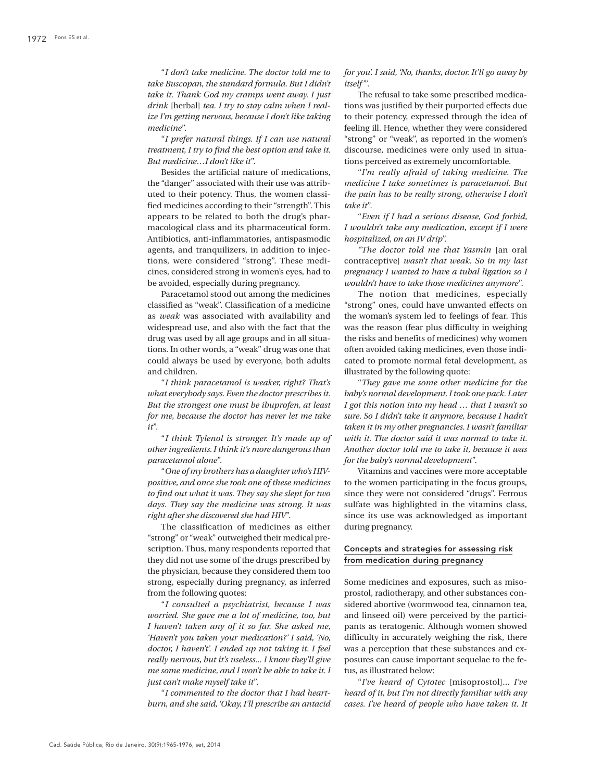"*I don't take medicine. The doctor told me to take Buscopan, the standard formula. But I didn't take it. Thank God my cramps went away. I just drink* [herbal] *tea. I try to stay calm when I realize I'm getting nervous, because I don't like taking medicine*".

"*I prefer natural things. If I can use natural treatment, I try to find the best option and take it. But medicine…I don't like it*".

Besides the artificial nature of medications, the "danger" associated with their use was attributed to their potency. Thus, the women classified medicines according to their "strength". This appears to be related to both the drug's pharmacological class and its pharmaceutical form. Antibiotics, anti-inflammatories, antispasmodic agents, and tranquilizers, in addition to injections, were considered "strong". These medicines, considered strong in women's eyes, had to be avoided, especially during pregnancy.

Paracetamol stood out among the medicines classified as "weak". Classification of a medicine as *weak* was associated with availability and widespread use, and also with the fact that the drug was used by all age groups and in all situations. In other words, a "weak" drug was one that could always be used by everyone, both adults and children.

"*I think paracetamol is weaker, right? That's what everybody says. Even the doctor prescribes it. But the strongest one must be ibuprofen, at least for me, because the doctor has never let me take it*".

"*I think Tylenol is stronger. It's made up of other ingredients. I think it's more dangerous than paracetamol alone*".

"*One of my brothers has a daughter who's HIVpositive, and once she took one of these medicines to find out what it was. They say she slept for two days. They say the medicine was strong. It was right after she discovered she had HIV*".

The classification of medicines as either "strong" or "weak" outweighed their medical prescription. Thus, many respondents reported that they did not use some of the drugs prescribed by the physician, because they considered them too strong, especially during pregnancy, as inferred from the following quotes:

"*I consulted a psychiatrist, because I was worried. She gave me a lot of medicine, too, but I haven't taken any of it so far. She asked me, 'Haven't you taken your medication?' I said, 'No, doctor, I haven't'. I ended up not taking it. I feel really nervous, but it's useless... I know they'll give me some medicine, and I won't be able to take it. I just can't make myself take it*".

"*I commented to the doctor that I had heartburn, and she said, 'Okay, I'll prescribe an antacid*  *for you'. I said, 'No, thanks, doctor. It'll go away by itself'*".

The refusal to take some prescribed medications was justified by their purported effects due to their potency, expressed through the idea of feeling ill. Hence, whether they were considered "strong" or "weak", as reported in the women's discourse, medicines were only used in situations perceived as extremely uncomfortable.

"*I'm really afraid of taking medicine. The medicine I take sometimes is paracetamol. But the pain has to be really strong, otherwise I don't take it*".

"*Even if I had a serious disease, God forbid, I wouldn't take any medication, except if I were hospitalized, on an IV drip".*

*"The doctor told me that Yasmin* [an oral contraceptive] *wasn't that weak. So in my last pregnancy I wanted to have a tubal ligation so I wouldn't have to take those medicines anymore*".

The notion that medicines, especially "strong" ones, could have unwanted effects on the woman's system led to feelings of fear. This was the reason (fear plus difficulty in weighing the risks and benefits of medicines) why women often avoided taking medicines, even those indicated to promote normal fetal development, as illustrated by the following quote:

"*They gave me some other medicine for the baby's normal development. I took one pack. Later I got this notion into my head … that I wasn't so sure. So I didn't take it anymore, because I hadn't taken it in my other pregnancies. I wasn't familiar with it. The doctor said it was normal to take it. Another doctor told me to take it, because it was for the baby's normal development*".

Vitamins and vaccines were more acceptable to the women participating in the focus groups, since they were not considered "drugs". Ferrous sulfate was highlighted in the vitamins class, since its use was acknowledged as important during pregnancy.

## Concepts and strategies for assessing risk from medication during pregnancy

Some medicines and exposures, such as misoprostol, radiotherapy, and other substances considered abortive (wormwood tea, cinnamon tea, and linseed oil) were perceived by the participants as teratogenic. Although women showed difficulty in accurately weighing the risk, there was a perception that these substances and exposures can cause important sequelae to the fetus, as illustrated below:

"*I've heard of Cytotec* [misoprostol]... *I've heard of it, but I'm not directly familiar with any cases. I've heard of people who have taken it. It*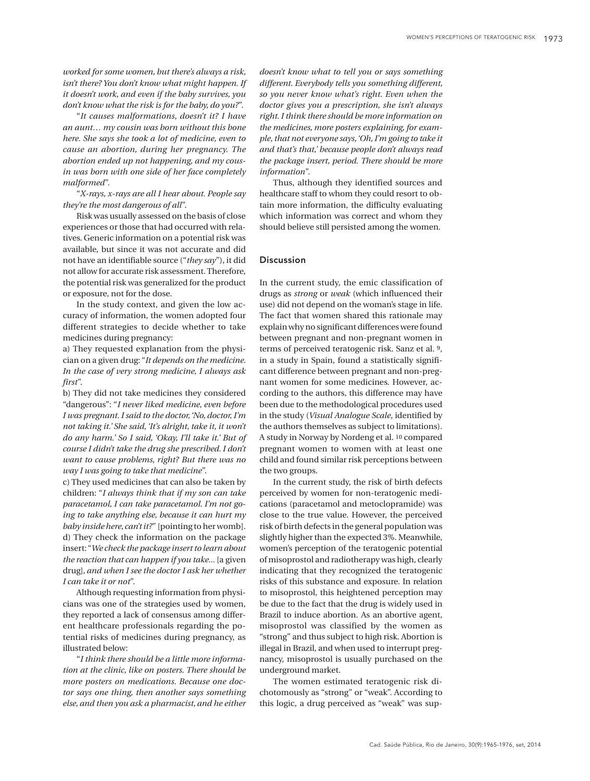*worked for some women, but there's always a risk, isn't there? You don't know what might happen. If it doesn't work, and even if the baby survives, you don't know what the risk is for the baby, do you?*".

"*It causes malformations, doesn't it? I have an aunt… my cousin was born without this bone here. She says she took a lot of medicine, even to cause an abortion, during her pregnancy. The abortion ended up not happening, and my cousin was born with one side of her face completely malformed*".

"*X-rays, x-rays are all I hear about. People say they're the most dangerous of all*".

Risk was usually assessed on the basis of close experiences or those that had occurred with relatives. Generic information on a potential risk was available, but since it was not accurate and did not have an identifiable source ("*they say*"), it did not allow for accurate risk assessment. Therefore, the potential risk was generalized for the product or exposure, not for the dose.

In the study context, and given the low accuracy of information, the women adopted four different strategies to decide whether to take medicines during pregnancy:

a) They requested explanation from the physician on a given drug: "*It depends on the medicine. In the case of very strong medicine, I always ask first*".

b) They did not take medicines they considered "dangerous": "*I never liked medicine, even before I was pregnant. I said to the doctor, 'No, doctor, I'm not taking it.' She said, 'It's alright, take it, it won't do any harm.' So I said, 'Okay, I'll take it.' But of course I didn't take the drug she prescribed. I don't want to cause problems, right? But there was no way I was going to take that medicine*".

c) They used medicines that can also be taken by children: "*I always think that if my son can take paracetamol, I can take paracetamol. I'm not going to take anything else, because it can hurt my baby inside here, can't it?*" [pointing to her womb]. d) They check the information on the package insert: "*We check the package insert to learn about the reaction that can happen if you take...* [a given drug]*, and when I see the doctor I ask her whether I can take it or not*".

Although requesting information from physicians was one of the strategies used by women, they reported a lack of consensus among different healthcare professionals regarding the potential risks of medicines during pregnancy, as illustrated below:

"*I think there should be a little more information at the clinic, like on posters. There should be more posters on medications. Because one doctor says one thing, then another says something else, and then you ask a pharmacist, and he either* 

*doesn't know what to tell you or says something different. Everybody tells you something different, so you never know what's right. Even when the doctor gives you a prescription, she isn't always right. I think there should be more information on the medicines, more posters explaining, for example, that not everyone says, 'Oh, I'm going to take it and that's that,' because people don't always read the package insert, period. There should be more information*".

Thus, although they identified sources and healthcare staff to whom they could resort to obtain more information, the difficulty evaluating which information was correct and whom they should believe still persisted among the women.

#### Discussion

In the current study, the emic classification of drugs as *strong* or *weak* (which influenced their use) did not depend on the woman's stage in life. The fact that women shared this rationale may explain why no significant differences were found between pregnant and non-pregnant women in terms of perceived teratogenic risk. Sanz et al. 9, in a study in Spain, found a statistically significant difference between pregnant and non-pregnant women for some medicines. However, according to the authors, this difference may have been due to the methodological procedures used in the study (*Visual Analogue Scale*, identified by the authors themselves as subject to limitations). A study in Norway by Nordeng et al. 10 compared pregnant women to women with at least one child and found similar risk perceptions between the two groups.

In the current study, the risk of birth defects perceived by women for non-teratogenic medications (paracetamol and metoclopramide) was close to the true value. However, the perceived risk of birth defects in the general population was slightly higher than the expected 3%. Meanwhile, women's perception of the teratogenic potential of misoprostol and radiotherapy was high, clearly indicating that they recognized the teratogenic risks of this substance and exposure. In relation to misoprostol, this heightened perception may be due to the fact that the drug is widely used in Brazil to induce abortion. As an abortive agent, misoprostol was classified by the women as "strong" and thus subject to high risk. Abortion is illegal in Brazil, and when used to interrupt pregnancy, misoprostol is usually purchased on the underground market.

The women estimated teratogenic risk dichotomously as "strong" or "weak". According to this logic, a drug perceived as "weak" was sup-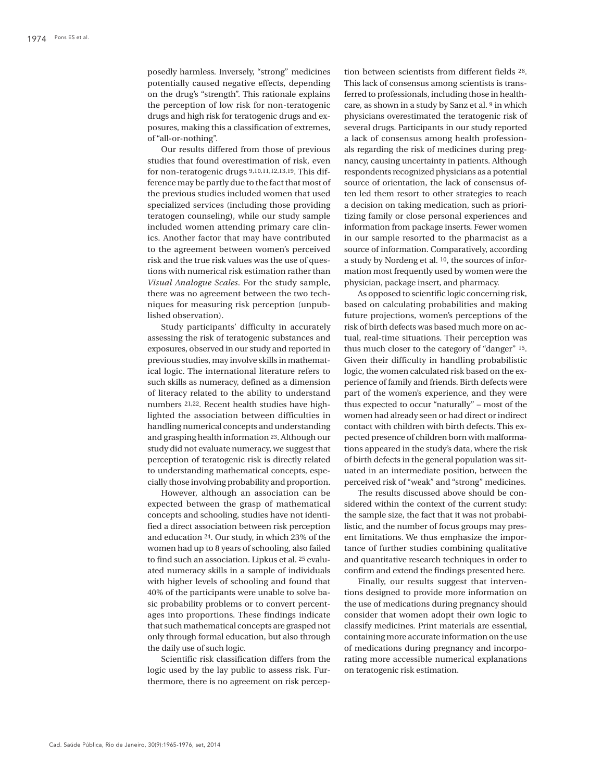posedly harmless. Inversely, "strong" medicines potentially caused negative effects, depending on the drug's "strength". This rationale explains the perception of low risk for non-teratogenic drugs and high risk for teratogenic drugs and exposures, making this a classification of extremes, of "all-or-nothing".

Our results differed from those of previous studies that found overestimation of risk, even for non-teratogenic drugs 9,10,11,12,13,19. This difference may be partly due to the fact that most of the previous studies included women that used specialized services (including those providing teratogen counseling), while our study sample included women attending primary care clinics. Another factor that may have contributed to the agreement between women's perceived risk and the true risk values was the use of questions with numerical risk estimation rather than *Visual Analogue Scales*. For the study sample, there was no agreement between the two techniques for measuring risk perception (unpublished observation).

Study participants' difficulty in accurately assessing the risk of teratogenic substances and exposures, observed in our study and reported in previous studies, may involve skills in mathematical logic. The international literature refers to such skills as numeracy, defined as a dimension of literacy related to the ability to understand numbers 21,22. Recent health studies have highlighted the association between difficulties in handling numerical concepts and understanding and grasping health information 23. Although our study did not evaluate numeracy, we suggest that perception of teratogenic risk is directly related to understanding mathematical concepts, especially those involving probability and proportion.

However, although an association can be expected between the grasp of mathematical concepts and schooling, studies have not identified a direct association between risk perception and education 24. Our study, in which 23% of the women had up to 8 years of schooling, also failed to find such an association. Lipkus et al. 25 evaluated numeracy skills in a sample of individuals with higher levels of schooling and found that 40% of the participants were unable to solve basic probability problems or to convert percentages into proportions. These findings indicate that such mathematical concepts are grasped not only through formal education, but also through the daily use of such logic.

Scientific risk classification differs from the logic used by the lay public to assess risk. Furthermore, there is no agreement on risk perception between scientists from different fields 26. This lack of consensus among scientists is transferred to professionals, including those in healthcare, as shown in a study by Sanz et al. 9 in which physicians overestimated the teratogenic risk of several drugs. Participants in our study reported a lack of consensus among health professionals regarding the risk of medicines during pregnancy, causing uncertainty in patients. Although respondents recognized physicians as a potential source of orientation, the lack of consensus often led them resort to other strategies to reach a decision on taking medication, such as prioritizing family or close personal experiences and information from package inserts. Fewer women in our sample resorted to the pharmacist as a source of information. Comparatively, according a study by Nordeng et al. 10, the sources of information most frequently used by women were the physician, package insert, and pharmacy.

As opposed to scientific logic concerning risk, based on calculating probabilities and making future projections, women's perceptions of the risk of birth defects was based much more on actual, real-time situations. Their perception was thus much closer to the category of "danger" 15. Given their difficulty in handling probabilistic logic, the women calculated risk based on the experience of family and friends. Birth defects were part of the women's experience, and they were thus expected to occur "naturally" – most of the women had already seen or had direct or indirect contact with children with birth defects. This expected presence of children born with malformations appeared in the study's data, where the risk of birth defects in the general population was situated in an intermediate position, between the perceived risk of "weak" and "strong" medicines*.*

The results discussed above should be considered within the context of the current study: the sample size, the fact that it was not probabilistic, and the number of focus groups may present limitations. We thus emphasize the importance of further studies combining qualitative and quantitative research techniques in order to confirm and extend the findings presented here.

Finally, our results suggest that interventions designed to provide more information on the use of medications during pregnancy should consider that women adopt their own logic to classify medicines. Print materials are essential, containing more accurate information on the use of medications during pregnancy and incorporating more accessible numerical explanations on teratogenic risk estimation.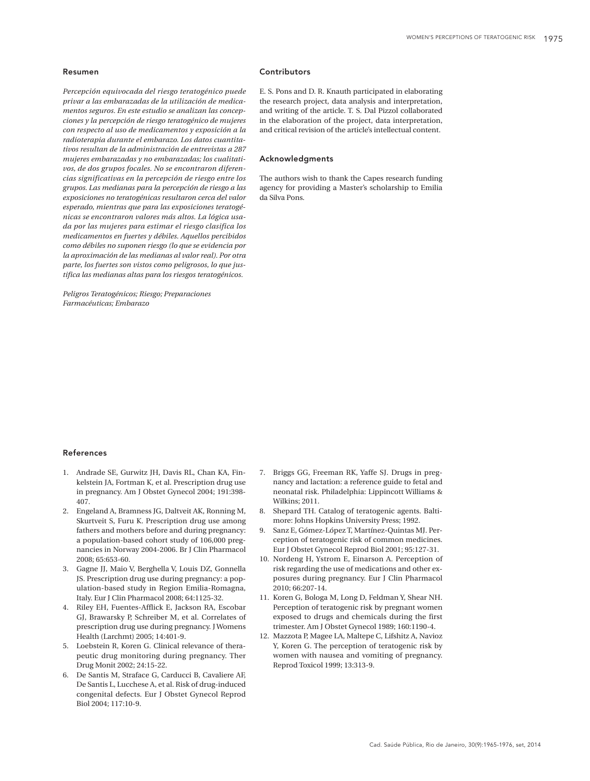#### Resumen

*Percepción equivocada del riesgo teratogénico puede privar a las embarazadas de la utilización de medicamentos seguros. En este estudio se analizan las concepciones y la percepción de riesgo teratogénico de mujeres con respecto al uso de medicamentos y exposición a la radioterapia durante el embarazo. Los datos cuantitativos resultan de la administración de entrevistas a 287 mujeres embarazadas y no embarazadas; los cualitativos, de dos grupos focales. No se encontraron diferencias significativas en la percepción de riesgo entre los grupos. Las medianas para la percepción de riesgo a las exposiciones no teratogénicas resultaron cerca del valor esperado, mientras que para las exposiciones teratogénicas se encontraron valores más altos. La lógica usada por las mujeres para estimar el riesgo clasifica los medicamentos en fuertes y débiles. Aquellos percibidos como débiles no suponen riesgo (lo que se evidencia por la aproximación de las medianas al valor real). Por otra parte, los fuertes son vistos como peligrosos, lo que justifica las medianas altas para los riesgos teratogénicos.*

*Peligros Teratogénicos; Riesgo; Preparaciones Farmacéuticas; Embarazo*

#### Contributors

E. S. Pons and D. R. Knauth participated in elaborating the research project, data analysis and interpretation, and writing of the article. T. S. Dal Pizzol collaborated in the elaboration of the project, data interpretation, and critical revision of the article's intellectual content.

#### Acknowledgments

The authors wish to thank the Capes research funding agency for providing a Master's scholarship to Emilia da Silva Pons.

#### References

- 1. Andrade SE, Gurwitz JH, Davis RL, Chan KA, Finkelstein JA, Fortman K, et al. Prescription drug use in pregnancy. Am J Obstet Gynecol 2004; 191:398- 407.
- 2. Engeland A, Bramness JG, Daltveit AK, Ronning M, Skurtveit S, Furu K. Prescription drug use among fathers and mothers before and during pregnancy: a population-based cohort study of 106,000 pregnancies in Norway 2004-2006. Br J Clin Pharmacol 2008; 65:653-60.
- 3. Gagne JJ, Maio V, Berghella V, Louis DZ, Gonnella JS. Prescription drug use during pregnancy: a population-based study in Region Emilia-Romagna, Italy. Eur J Clin Pharmacol 2008; 64:1125-32.
- 4. Riley EH, Fuentes-Afflick E, Jackson RA, Escobar GJ, Brawarsky P, Schreiber M, et al. Correlates of prescription drug use during pregnancy. J Womens Health (Larchmt) 2005; 14:401-9.
- 5. Loebstein R, Koren G. Clinical relevance of therapeutic drug monitoring during pregnancy. Ther Drug Monit 2002; 24:15-22.
- 6. De Santis M, Straface G, Carducci B, Cavaliere AF, De Santis L, Lucchese A, et al. Risk of drug-induced congenital defects. Eur J Obstet Gynecol Reprod Biol 2004; 117:10-9.
- 7. Briggs GG, Freeman RK, Yaffe SJ. Drugs in pregnancy and lactation: a reference guide to fetal and neonatal risk. Philadelphia: Lippincott Williams & Wilkins; 2011.
- 8. Shepard TH. Catalog of teratogenic agents. Baltimore: Johns Hopkins University Press; 1992.
- 9. Sanz E, Gómez-López T, Martínez-Quintas MJ. Perception of teratogenic risk of common medicines. Eur J Obstet Gynecol Reprod Biol 2001; 95:127-31.
- 10. Nordeng H, Ystrom E, Einarson A. Perception of risk regarding the use of medications and other exposures during pregnancy. Eur J Clin Pharmacol 2010; 66:207-14.
- 11. Koren G, Bologa M, Long D, Feldman Y, Shear NH. Perception of teratogenic risk by pregnant women exposed to drugs and chemicals during the first trimester. Am J Obstet Gynecol 1989; 160:1190-4.
- 12. Mazzota P, Magee LA, Maltepe C, Lifshitz A, Navioz Y, Koren G. The perception of teratogenic risk by women with nausea and vomiting of pregnancy. Reprod Toxicol 1999; 13:313-9.